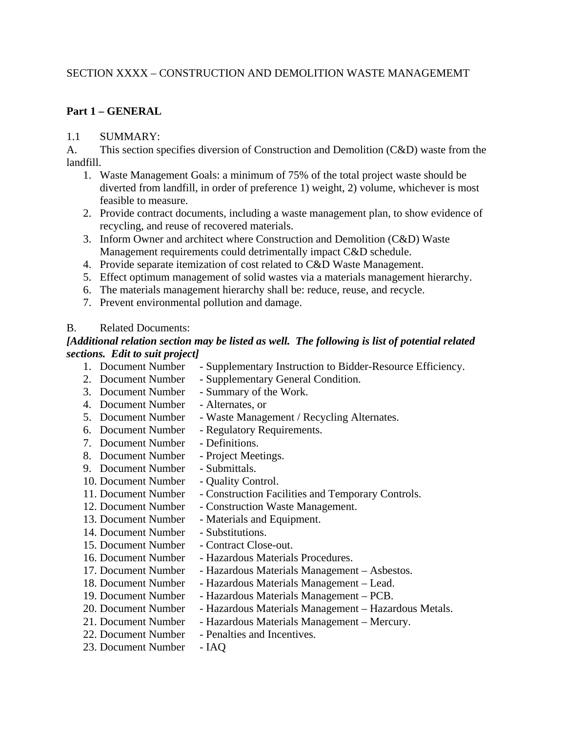### SECTION XXXX – CONSTRUCTION AND DEMOLITION WASTE MANAGEMEMT

### **Part 1 – GENERAL**

### 1.1 SUMMARY:

A. This section specifies diversion of Construction and Demolition (C&D) waste from the landfill.

- 1. Waste Management Goals: a minimum of 75% of the total project waste should be diverted from landfill, in order of preference 1) weight, 2) volume, whichever is most feasible to measure.
- 2. Provide contract documents, including a waste management plan, to show evidence of recycling, and reuse of recovered materials.
- 3. Inform Owner and architect where Construction and Demolition (C&D) Waste Management requirements could detrimentally impact C&D schedule.
- 4. Provide separate itemization of cost related to C&D Waste Management.
- 5. Effect optimum management of solid wastes via a materials management hierarchy.
- 6. The materials management hierarchy shall be: reduce, reuse, and recycle.
- 7. Prevent environmental pollution and damage.

#### B. Related Documents:

### *[Additional relation section may be listed as well. The following is list of potential related sections. Edit to suit project]*

1. Document Number - Supplementary Instruction to Bidder-Resource Efficiency. 2. Document Number - Supplementary General Condition. 3. Document Number - Summary of the Work. 4. Document Number - Alternates, or 5. Document Number - Waste Management / Recycling Alternates. 6. Document Number - Regulatory Requirements. 7. Document Number - Definitions. 8. Document Number - Project Meetings. 9. Document Number - Submittals. 10. Document Number - Quality Control. 11. Document Number - Construction Facilities and Temporary Controls. 12. Document Number - Construction Waste Management. 13. Document Number - Materials and Equipment. 14. Document Number - Substitutions. 15. Document Number - Contract Close-out. 16. Document Number - Hazardous Materials Procedures. 17. Document Number - Hazardous Materials Management – Asbestos. 18. Document Number - Hazardous Materials Management – Lead. 19. Document Number - Hazardous Materials Management – PCB. 20. Document Number - Hazardous Materials Management – Hazardous Metals. 21. Document Number - Hazardous Materials Management – Mercury. 22. Document Number - Penalties and Incentives. 23. Document Number - IAO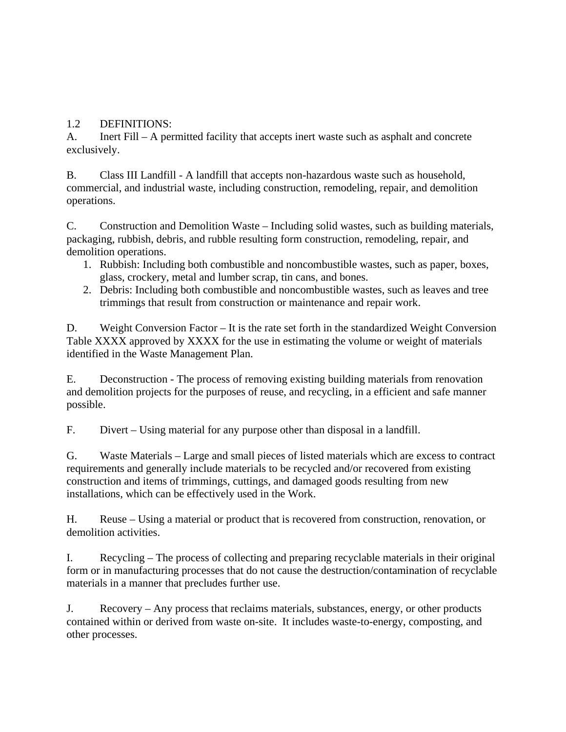### 1.2 DEFINITIONS:

A. Inert Fill – A permitted facility that accepts inert waste such as asphalt and concrete exclusively.

B. Class III Landfill - A landfill that accepts non-hazardous waste such as household, commercial, and industrial waste, including construction, remodeling, repair, and demolition operations.

C. Construction and Demolition Waste – Including solid wastes, such as building materials, packaging, rubbish, debris, and rubble resulting form construction, remodeling, repair, and demolition operations.

- 1. Rubbish: Including both combustible and noncombustible wastes, such as paper, boxes, glass, crockery, metal and lumber scrap, tin cans, and bones.
- 2. Debris: Including both combustible and noncombustible wastes, such as leaves and tree trimmings that result from construction or maintenance and repair work.

D. Weight Conversion Factor – It is the rate set forth in the standardized Weight Conversion Table XXXX approved by XXXX for the use in estimating the volume or weight of materials identified in the Waste Management Plan.

E. Deconstruction - The process of removing existing building materials from renovation and demolition projects for the purposes of reuse, and recycling, in a efficient and safe manner possible.

F. Divert – Using material for any purpose other than disposal in a landfill.

G. Waste Materials – Large and small pieces of listed materials which are excess to contract requirements and generally include materials to be recycled and/or recovered from existing construction and items of trimmings, cuttings, and damaged goods resulting from new installations, which can be effectively used in the Work.

H. Reuse – Using a material or product that is recovered from construction, renovation, or demolition activities.

I. Recycling – The process of collecting and preparing recyclable materials in their original form or in manufacturing processes that do not cause the destruction/contamination of recyclable materials in a manner that precludes further use.

J. Recovery – Any process that reclaims materials, substances, energy, or other products contained within or derived from waste on-site. It includes waste-to-energy, composting, and other processes.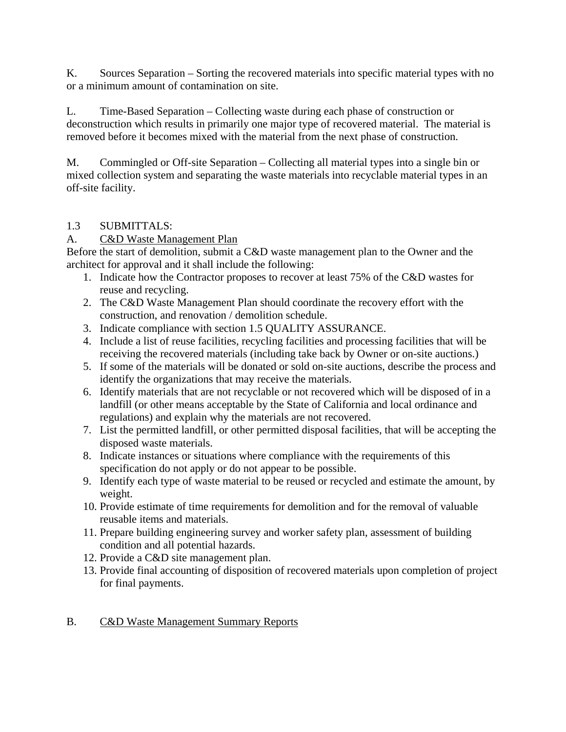K. Sources Separation – Sorting the recovered materials into specific material types with no or a minimum amount of contamination on site.

L. Time-Based Separation – Collecting waste during each phase of construction or deconstruction which results in primarily one major type of recovered material. The material is removed before it becomes mixed with the material from the next phase of construction.

M. Commingled or Off-site Separation – Collecting all material types into a single bin or mixed collection system and separating the waste materials into recyclable material types in an off-site facility.

# 1.3 SUBMITTALS:

# A. C&D Waste Management Plan

Before the start of demolition, submit a C&D waste management plan to the Owner and the architect for approval and it shall include the following:

- 1. Indicate how the Contractor proposes to recover at least 75% of the C&D wastes for reuse and recycling.
- 2. The C&D Waste Management Plan should coordinate the recovery effort with the construction, and renovation / demolition schedule.
- 3. Indicate compliance with section 1.5 QUALITY ASSURANCE.
- 4. Include a list of reuse facilities, recycling facilities and processing facilities that will be receiving the recovered materials (including take back by Owner or on-site auctions.)
- 5. If some of the materials will be donated or sold on-site auctions, describe the process and identify the organizations that may receive the materials.
- 6. Identify materials that are not recyclable or not recovered which will be disposed of in a landfill (or other means acceptable by the State of California and local ordinance and regulations) and explain why the materials are not recovered.
- 7. List the permitted landfill, or other permitted disposal facilities, that will be accepting the disposed waste materials.
- 8. Indicate instances or situations where compliance with the requirements of this specification do not apply or do not appear to be possible.
- 9. Identify each type of waste material to be reused or recycled and estimate the amount, by weight.
- 10. Provide estimate of time requirements for demolition and for the removal of valuable reusable items and materials.
- 11. Prepare building engineering survey and worker safety plan, assessment of building condition and all potential hazards.
- 12. Provide a C&D site management plan.
- 13. Provide final accounting of disposition of recovered materials upon completion of project for final payments.

# B. C&D Waste Management Summary Reports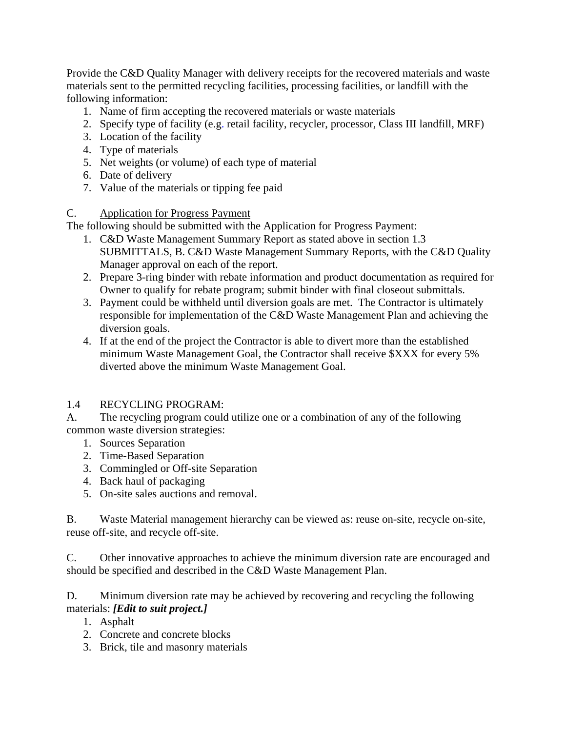Provide the C&D Quality Manager with delivery receipts for the recovered materials and waste materials sent to the permitted recycling facilities, processing facilities, or landfill with the following information:

- 1. Name of firm accepting the recovered materials or waste materials
- 2. Specify type of facility (e.g. retail facility, recycler, processor, Class III landfill, MRF)
- 3. Location of the facility
- 4. Type of materials
- 5. Net weights (or volume) of each type of material
- 6. Date of delivery
- 7. Value of the materials or tipping fee paid

### C. Application for Progress Payment

The following should be submitted with the Application for Progress Payment:

- 1. C&D Waste Management Summary Report as stated above in section 1.3 SUBMITTALS, B. C&D Waste Management Summary Reports, with the C&D Quality Manager approval on each of the report.
- 2. Prepare 3-ring binder with rebate information and product documentation as required for Owner to qualify for rebate program; submit binder with final closeout submittals.
- 3. Payment could be withheld until diversion goals are met. The Contractor is ultimately responsible for implementation of the C&D Waste Management Plan and achieving the diversion goals.
- 4. If at the end of the project the Contractor is able to divert more than the established minimum Waste Management Goal, the Contractor shall receive \$XXX for every 5% diverted above the minimum Waste Management Goal.

### 1.4 RECYCLING PROGRAM:

A. The recycling program could utilize one or a combination of any of the following common waste diversion strategies:

- 1. Sources Separation
- 2. Time-Based Separation
- 3. Commingled or Off-site Separation
- 4. Back haul of packaging
- 5. On-site sales auctions and removal.

B. Waste Material management hierarchy can be viewed as: reuse on-site, recycle on-site, reuse off-site, and recycle off-site.

C. Other innovative approaches to achieve the minimum diversion rate are encouraged and should be specified and described in the C&D Waste Management Plan.

D. Minimum diversion rate may be achieved by recovering and recycling the following materials: *[Edit to suit project.]*

- 1. Asphalt
- 2. Concrete and concrete blocks
- 3. Brick, tile and masonry materials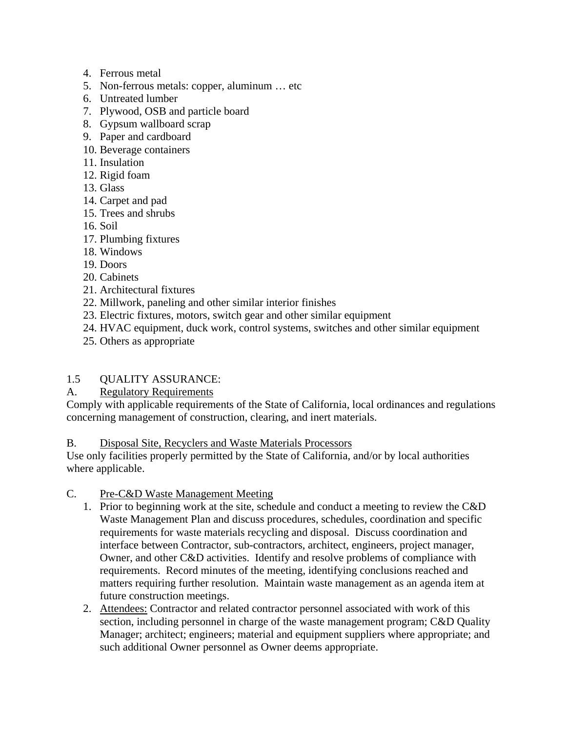- 4. Ferrous metal
- 5. Non-ferrous metals: copper, aluminum … etc
- 6. Untreated lumber
- 7. Plywood, OSB and particle board
- 8. Gypsum wallboard scrap
- 9. Paper and cardboard
- 10. Beverage containers
- 11. Insulation
- 12. Rigid foam
- 13. Glass
- 14. Carpet and pad
- 15. Trees and shrubs
- 16. Soil
- 17. Plumbing fixtures
- 18. Windows
- 19. Doors
- 20. Cabinets
- 21. Architectural fixtures
- 22. Millwork, paneling and other similar interior finishes
- 23. Electric fixtures, motors, switch gear and other similar equipment
- 24. HVAC equipment, duck work, control systems, switches and other similar equipment
- 25. Others as appropriate

# 1.5 QUALITY ASSURANCE:

# A. Regulatory Requirements

Comply with applicable requirements of the State of California, local ordinances and regulations concerning management of construction, clearing, and inert materials.

### B. Disposal Site, Recyclers and Waste Materials Processors

Use only facilities properly permitted by the State of California, and/or by local authorities where applicable.

### C. Pre-C&D Waste Management Meeting

- 1. Prior to beginning work at the site, schedule and conduct a meeting to review the C&D Waste Management Plan and discuss procedures, schedules, coordination and specific requirements for waste materials recycling and disposal. Discuss coordination and interface between Contractor, sub-contractors, architect, engineers, project manager, Owner, and other C&D activities. Identify and resolve problems of compliance with requirements. Record minutes of the meeting, identifying conclusions reached and matters requiring further resolution. Maintain waste management as an agenda item at future construction meetings.
- 2. Attendees: Contractor and related contractor personnel associated with work of this section, including personnel in charge of the waste management program; C&D Quality Manager; architect; engineers; material and equipment suppliers where appropriate; and such additional Owner personnel as Owner deems appropriate.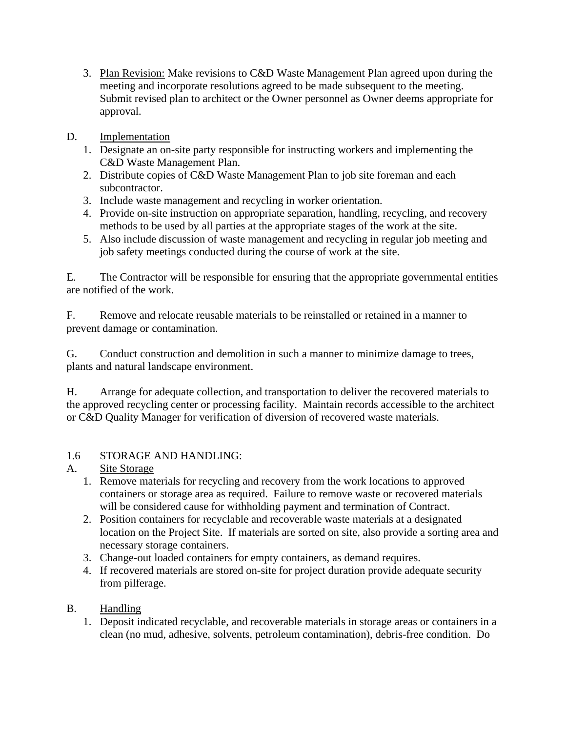- 3. Plan Revision: Make revisions to C&D Waste Management Plan agreed upon during the meeting and incorporate resolutions agreed to be made subsequent to the meeting. Submit revised plan to architect or the Owner personnel as Owner deems appropriate for approval.
- D. Implementation
	- 1. Designate an on-site party responsible for instructing workers and implementing the C&D Waste Management Plan.
	- 2. Distribute copies of C&D Waste Management Plan to job site foreman and each subcontractor.
	- 3. Include waste management and recycling in worker orientation.
	- 4. Provide on-site instruction on appropriate separation, handling, recycling, and recovery methods to be used by all parties at the appropriate stages of the work at the site.
	- 5. Also include discussion of waste management and recycling in regular job meeting and job safety meetings conducted during the course of work at the site.

E. The Contractor will be responsible for ensuring that the appropriate governmental entities are notified of the work.

F. Remove and relocate reusable materials to be reinstalled or retained in a manner to prevent damage or contamination.

G. Conduct construction and demolition in such a manner to minimize damage to trees, plants and natural landscape environment.

H. Arrange for adequate collection, and transportation to deliver the recovered materials to the approved recycling center or processing facility. Maintain records accessible to the architect or C&D Quality Manager for verification of diversion of recovered waste materials.

# 1.6 STORAGE AND HANDLING:

# A. Site Storage

- 1. Remove materials for recycling and recovery from the work locations to approved containers or storage area as required. Failure to remove waste or recovered materials will be considered cause for withholding payment and termination of Contract.
- 2. Position containers for recyclable and recoverable waste materials at a designated location on the Project Site. If materials are sorted on site, also provide a sorting area and necessary storage containers.
- 3. Change-out loaded containers for empty containers, as demand requires.
- 4. If recovered materials are stored on-site for project duration provide adequate security from pilferage.

# B. Handling

1. Deposit indicated recyclable, and recoverable materials in storage areas or containers in a clean (no mud, adhesive, solvents, petroleum contamination), debris-free condition. Do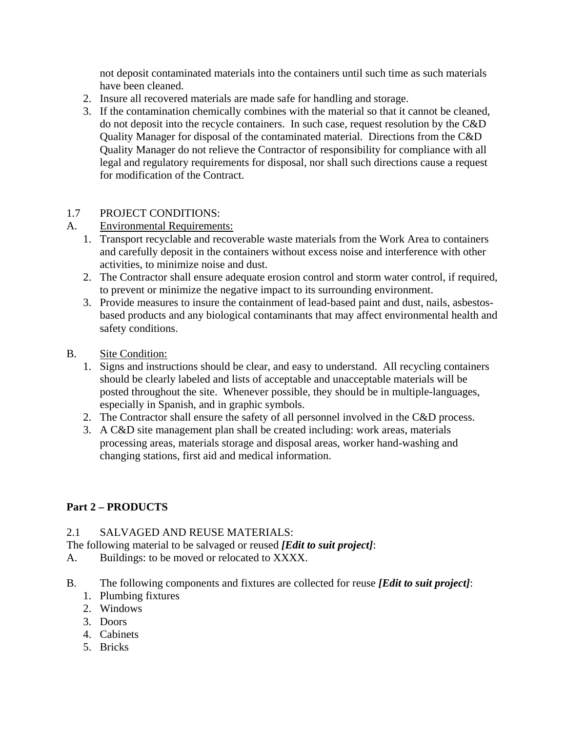not deposit contaminated materials into the containers until such time as such materials have been cleaned.

- 2. Insure all recovered materials are made safe for handling and storage.
- 3. If the contamination chemically combines with the material so that it cannot be cleaned, do not deposit into the recycle containers. In such case, request resolution by the C&D Quality Manager for disposal of the contaminated material. Directions from the C&D Quality Manager do not relieve the Contractor of responsibility for compliance with all legal and regulatory requirements for disposal, nor shall such directions cause a request for modification of the Contract.

### 1.7 PROJECT CONDITIONS:

### A. Environmental Requirements:

- 1. Transport recyclable and recoverable waste materials from the Work Area to containers and carefully deposit in the containers without excess noise and interference with other activities, to minimize noise and dust.
- 2. The Contractor shall ensure adequate erosion control and storm water control, if required, to prevent or minimize the negative impact to its surrounding environment.
- 3. Provide measures to insure the containment of lead-based paint and dust, nails, asbestosbased products and any biological contaminants that may affect environmental health and safety conditions.
- B. Site Condition:
	- 1. Signs and instructions should be clear, and easy to understand. All recycling containers should be clearly labeled and lists of acceptable and unacceptable materials will be posted throughout the site. Whenever possible, they should be in multiple-languages, especially in Spanish, and in graphic symbols.
	- 2. The Contractor shall ensure the safety of all personnel involved in the C&D process.
	- 3. A C&D site management plan shall be created including: work areas, materials processing areas, materials storage and disposal areas, worker hand-washing and changing stations, first aid and medical information.

# **Part 2 – PRODUCTS**

### 2.1 SALVAGED AND REUSE MATERIALS:

The following material to be salvaged or reused *[Edit to suit project]*:

- A. Buildings: to be moved or relocated to XXXX.
- B. The following components and fixtures are collected for reuse *[Edit to suit project]*:
	- 1. Plumbing fixtures
	- 2. Windows
	- 3. Doors
	- 4. Cabinets
	- 5. Bricks